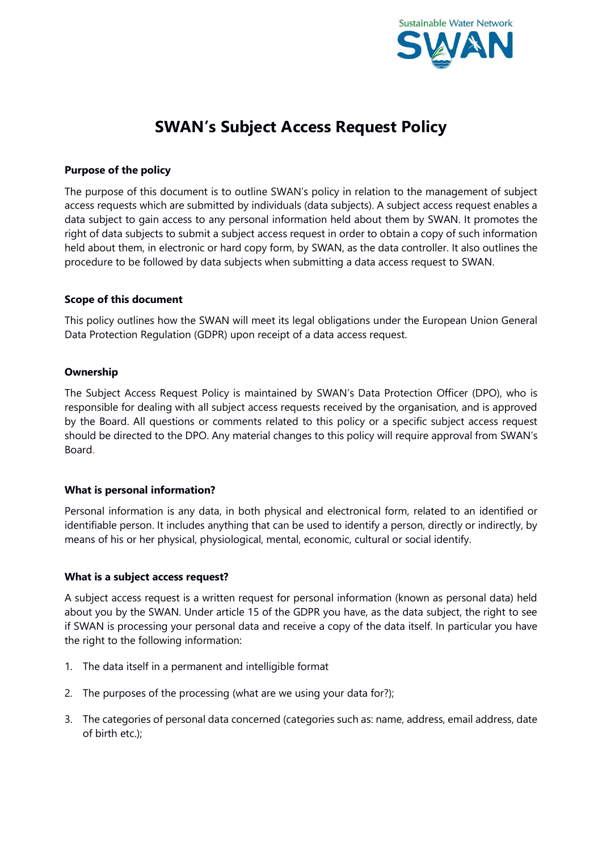

# **SWAN's Subject Access Request Policy**

## **Purpose of the policy**

The purpose of this document is to outline SWAN's policy in relation to the management of subject access requests which are submitted by individuals (data subjects). A subject access request enables a data subject to gain access to any personal information held about them by SWAN. It promotes the right of data subjects to submit a subject access request in order to obtain a copy of such information held about them, in electronic or hard copy form, by SWAN, as the data controller. It also outlines the procedure to be followed by data subjects when submitting a data access request to SWAN.

## **Scope of this document**

This policy outlines how the SWAN will meet its legal obligations under the European Union General Data Protection Regulation (GDPR) upon receipt of a data access request.

## **Ownership**

The Subject Access Request Policy is maintained by SWAN's Data Protection Officer (DPO), who is responsible for dealing with all subject access requests received by the organisation, and is approved by the Board. All questions or comments related to this policy or a specific subject access request should be directed to the DPO. Any material changes to this policy will require approval from SWAN's Board.

# **What is personal information?**

Personal information is any data, in both physical and electronical form, related to an identified or identifiable person. It includes anything that can be used to identify a person, directly or indirectly, by means of his or her physical, physiological, mental, economic, cultural or social identify.

## **What is a subject access request?**

A subject access request is a written request for personal information (known as personal data) held about you by the SWAN. Under article 15 of the GDPR you have, as the data subject, the right to see if SWAN is processing your personal data and receive a copy of the data itself. In particular you have the right to the following information:

- 1. The data itself in a permanent and intelligible format
- 2. The purposes of the processing (what are we using your data for?);
- 3. The categories of personal data concerned (categories such as: name, address, email address, date of birth etc.);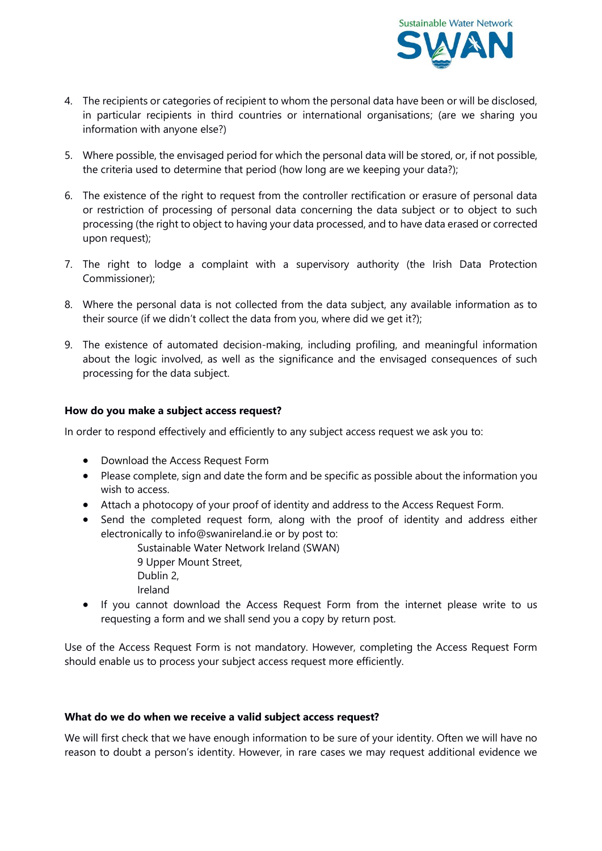

- 4. The recipients or categories of recipient to whom the personal data have been or will be disclosed, in particular recipients in third countries or international organisations; (are we sharing you information with anyone else?)
- 5. Where possible, the envisaged period for which the personal data will be stored, or, if not possible, the criteria used to determine that period (how long are we keeping your data?);
- 6. The existence of the right to request from the controller rectification or erasure of personal data or restriction of processing of personal data concerning the data subject or to object to such processing (the right to object to having your data processed, and to have data erased or corrected upon request);
- 7. The right to lodge a complaint with a supervisory authority (the Irish Data Protection Commissioner);
- 8. Where the personal data is not collected from the data subject, any available information as to their source (if we didn't collect the data from you, where did we get it?);
- 9. The existence of automated decision-making, including profiling, and meaningful information about the logic involved, as well as the significance and the envisaged consequences of such processing for the data subject.

# **How do you make a subject access request?**

In order to respond effectively and efficiently to any subject access request we ask you to:

- Download the Access Request Form
- Please complete, sign and date the form and be specific as possible about the information you wish to access.
- Attach a photocopy of your proof of identity and address to the Access Request Form.
- Send the completed request form, along with the proof of identity and address either electronically to info@swanireland.ie or by post to:
	- Sustainable Water Network Ireland (SWAN) 9 Upper Mount Street, Dublin 2,

Ireland

 If you cannot download the Access Request Form from the internet please write to us requesting a form and we shall send you a copy by return post.

Use of the Access Request Form is not mandatory. However, completing the Access Request Form should enable us to process your subject access request more efficiently.

## **What do we do when we receive a valid subject access request?**

We will first check that we have enough information to be sure of your identity. Often we will have no reason to doubt a person's identity. However, in rare cases we may request additional evidence we